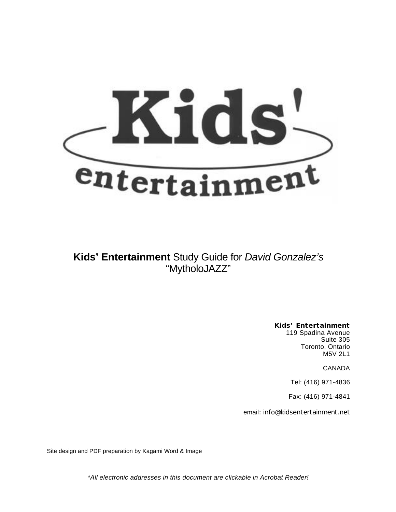

**Kids' Entertainment** Study Guide for *David Gonzalez's* "MytholoJAZZ"

> **Kids' Entertainment** 119 Spadina Avenue Suite 305 Toronto, Ontario M5V 2L1

> > CANADA

Tel: (416) 971-4836

Fax: (416) 971-4841

email: [info@kidsentertainment.net](mailto:info@kidsentertainment.net)

Site design and PDF preparation b[y Kagami Word & Image](http://www.kagami.ca)

*\*All electronic addresses in this document are clickable in Acrobat Reader!*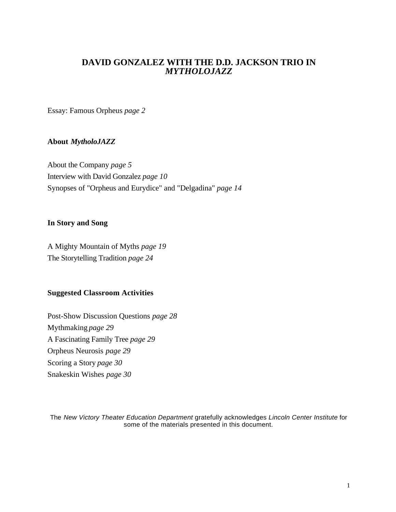#### **DAVID GONZALEZ WITH THE D.D. JACKSON TRIO IN** *MYTHOLOJAZZ*

Essay: Famous Orpheus *page 2*

#### **About** *MytholoJAZZ*

About the Company *page 5* Interview with David Gonzalez *page 10* Synopses of "Orpheus and Eurydice" and "Delgadina" *page 14*

#### **In Story and Song**

A Mighty Mountain of Myths *page 19* The Storytelling Tradition *page 24*

#### **Suggested Classroom Activities**

Post-Show Discussion Questions *page 28* Mythmaking *page 29* A Fascinating Family Tree *page 29* Orpheus Neurosis *page 29* Scoring a Story *page 30* Snakeskin Wishes *page 30*

The *New Victory Theater Education Department* gratefully acknowledges *Lincoln Center Institute* for some of the materials presented in this document.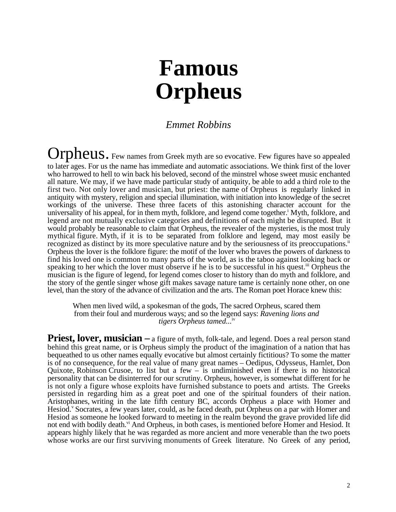# **Famous Orpheus**

#### *Emmet Robbins*

**Orpheus.** Few names from Greek myth are so evocative. Few figures have so appealed to later ages. For us the name has immediate and automatic associations. We think first of the lover who harrowed to hell to win back his beloved, second of the minstrel whose sweet music enchanted all nature. We may, if we have made particular study of antiquity, be able to add a third role to the first two. Not only lover and musician, but priest: the name of Orpheus is regularly linked in antiquity with mystery, religion and special illumination, with initiation into knowledge of the secret workings of the universe. These three facets of this astonishing character account for the universality of his appeal, for in them myth, folklore, and legend come together.<sup>i</sup> Myth, folklore, and legend are not mutually exclusive categories and definitions of each might be disrupted. But it would probably be reasonable to claim that Orpheus, the revealer of the mysteries, is the most truly mythical figure. Myth, if it is to be separated from folklore and legend, may most easily be recognized as distinct by its more speculative nature and by the seriousness of its preoccupations.<sup>11</sup> Orpheus the lover is the folklore figure: the motif of the lover who braves the powers of darkness to find his loved one is common to many parts of the world, as is the taboo against looking back or speaking to her which the lover must observe if he is to be successful in his quest.<sup>iii</sup> Orpheus the musician is the figure of legend, for legend comes closer to history than do myth and folklore, and the story of the gentle singer whose gift makes savage nature tame is certainly none other, on one level, than the story of the advance of civilization and the arts. The Roman poet Horace knew this:

When men lived wild, a spokesman of the gods, The sacred Orpheus, scared them from their foul and murderous ways; and so the legend says: *Ravening lions and tigers Orpheus tamed...*iv

**Priest, lover, musician** – a figure of myth, folk-tale, and legend. Does a real person stand behind this great name, or is Orpheus simply the product of the imagination of a nation that has bequeathed to us other names equally evocative but almost certainly fictitious? To some the matter is of no consequence, for the real value of many great names – Oedipus, Odysseus, Hamlet, Don Quixote, Robinson Crusoe, to list but a few  $-$  is undiminished even if there is no historical personality that can be disinterred for our scrutiny. Orpheus, however, is somewhat different for he is not only a figure whose exploits have furnished substance to poets and artists. The Greeks persisted in regarding him as a great poet and one of the spiritual founders of their nation. Aristophanes, writing in the late fifth century BC, accords Orpheus a place with Homer and Hesiod. Socrates, a few years later, could, as he faced death, put Orpheus on a par with Homer and Hesiod as someone he looked forward to meeting in the realm beyond the grave provided life did not end with bodily death.<sup>v</sup> And Orpheus, in both cases, is mentioned before Homer and Hesiod. It appears highly likely that he was regarded as more ancient and more venerable than the two poets whose works are our first surviving monuments of Greek literature. No Greek of any period,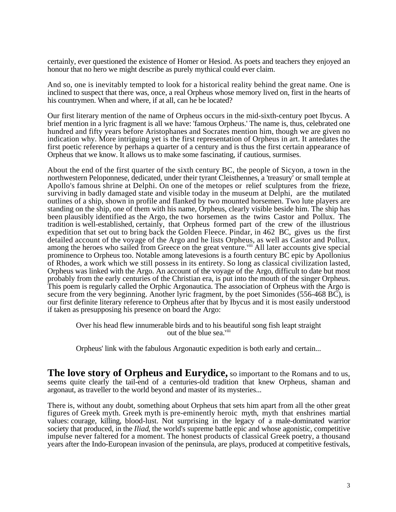certainly, ever questioned the existence of Homer or Hesiod. As poets and teachers they enjoyed an honour that no hero we might describe as purely mythical could ever claim.

And so, one is inevitably tempted to look for a historical reality behind the great name. One is inclined to suspect that there was, once, a real Orpheus whose memory lived on, first in the hearts of his countrymen. When and where, if at all, can he be located?

Our first literary mention of the name of Orpheus occurs in the mid-sixth-century poet Ibycus. A brief mention in a lyric fragment is all we have: 'famous Orpheus.' The name is, thus, celebrated one hundred and fifty years before Aristophanes and Socrates mention him, though we are given no indication why. More intriguing yet is the first representation of Orpheus in art. It antedates the first poetic reference by perhaps a quarter of a century and is thus the first certain appearance of Orpheus that we know. It allows us to make some fascinating, if cautious, surmises.

About the end of the first quarter of the sixth century BC, the people of Sicyon, a town in the northwestern Peloponnese, dedicated, under their tyrant Cleisthennes, a 'treasury' or small temple at Apollo's famous shrine at Delphi. On one of the metopes or relief sculptures from the frieze, surviving in badly damaged state and visible today in the museum at Delphi, are the mutilated outlines of a ship, shown in profile and flanked by two mounted horsemen. Two lute players are standing on the ship, one of them with his name, Orpheus, clearly visible beside him. The ship has been plausibly identified as the Argo, the two horsemen as the twins Castor and Pollux. The tradition is well-established, certainly, that Orpheus formed part of the crew of the illustrious expedition that set out to bring back the Golden Fleece. Pindar, in 462 BC, gives us the first detailed account of the voyage of the Argo and he lists Orpheus, as well as Castor and Pollux, among the heroes who sailed from Greece on the great venture.<sup>viii</sup> All later accounts give special prominence to Orpheus too. Notable among latevesions is a fourth century BC epic by Apollonius of Rhodes, a work which we still possess in its entirety. So long as classical civilization lasted, Orpheus was linked with the Argo. An account of the voyage of the Argo, difficult to date but most probably from the early centuries of the Christian era, is put into the mouth of the singer Orpheus. This poem is regularly called the Orphic Argonautica. The association of Orpheus with the Argo is secure from the very beginning. Another lyric fragment, by the poet Simonides (556-468 BC), is our first definite literary reference to Orpheus after that by Ibycus and it is most easily understood if taken as presupposing his presence on board the Argo:

Over his head flew innumerable birds and to his beautiful song fish leapt straight out of the blue sea.<sup>viii</sup>

Orpheus' link with the fabulous Argonautic expedition is both early and certain...

**The love story of Orpheus and Eurydice,** so important to the Romans and to us, seems quite clearly the tail-end of a centuries-old tradition that knew Orpheus, shaman and argonaut, as traveller to the world beyond and master of its mysteries...

There is, without any doubt, something about Orpheus that sets him apart from all the other great figures of Greek myth. Greek myth is pre-eminently heroic myth, myth that enshrines martial values: courage, killing, blood-lust. Not surprising in the legacy of a male-dominated warrior society that produced, in the *Iliad*, the world's supreme battle epic and whose agonistic, competitive impulse never faltered for a moment. The honest products of classical Greek poetry, a thousand years after the Indo-European invasion of the peninsula, are plays, produced at competitive festivals,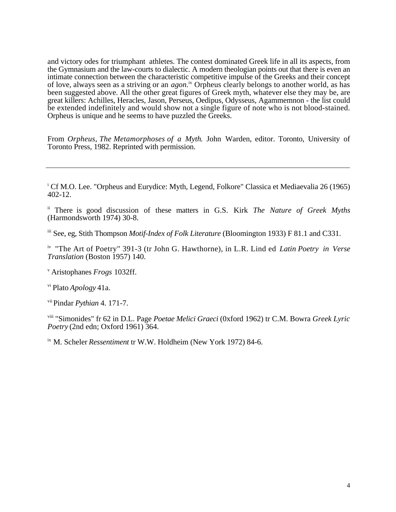and victory odes for triumphant athletes. The contest dominated Greek life in all its aspects, from the Gymnasium and the law-courts to dialectic. A modern theologian points out that there is even an intimate connection between the characteristic competitive impulse of the Greeks and their concept of love, always seen as a striving or an *agon*.<sup>ix</sup> Orpheus clearly belongs to another world, as has been suggested above. All the other great figures of Greek myth, whatever else they may be, are great killers: Achilles, Heracles, Jason, Perseus, Oedipus, Odysseus, Agammemnon - the list could be extended indefinitely and would show not a single figure of note who is not blood-stained. Orpheus is unique and he seems to have puzzled the Greeks.

From *Orpheus, The Metamorphoses of a Myth*. John Warden, editor. Toronto, University of Toronto Press, 1982. Reprinted with permission.

<sup>i</sup> Cf M.O. Lee. "Orpheus and Eurydice: Myth, Legend, Folkore" Classica et Mediaevalia 26 (1965) 402-12.

ii There is good discussion of these matters in G.S. Kirk *The Nature of Greek Myths* (Harmondsworth 1974) 30-8.

iii See, eg, Stith Thompson *Motif-Index of Folk Literature* (Bloomington 1933) F 81.1 and C331.

iv "The Art of Poetry" 391-3 (tr John G. Hawthorne), in L.R. Lind ed *Latin Poetry in Verse Translation* (Boston 1957) 140.

v Aristophanes *Frogs* 1032ff.

vi Plato *Apology* 41a.

vii Pindar *Pythian* 4. 171-7.

viii "Simonides" fr 62 in D.L. Page *Poetae Melici Graeci* (0xford 1962) tr C.M. Bowra *Greek Lyric Poetry* (2nd edn; Oxford 1961) 364.

ix M. Scheler *Ressentiment* tr W.W. Holdheim (New York 1972) 84-6.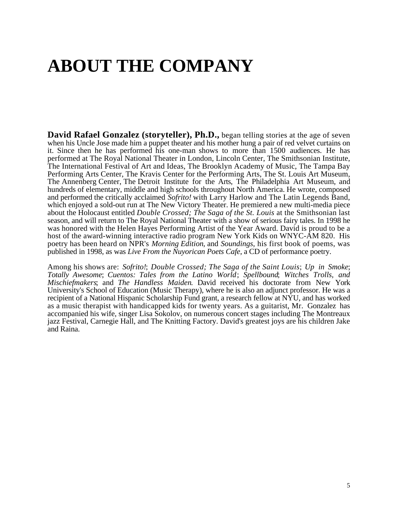# **ABOUT THE COMPANY**

**David Rafael Gonzalez (storyteller), Ph.D.,** began telling stories at the age of seven when his Uncle Jose made him a puppet theater and his mother hung a pair of red velvet curtains on it. Since then he has performed his one-man shows to more than 1500 audiences. He has performed at The Royal National Theater in London, Lincoln Center, The Smithsonian Institute, The International Festival of Art and Ideas, The Brooklyn Academy of Music, The Tampa Bay Performing Arts Center, The Kravis Center for the Performing Arts, The St. Louis Art Museum, The Annenberg Center, The Detroit Institute for the Arts, The Philadelphia Art Museum, and hundreds of elementary, middle and high schools throughout North America. He wrote, composed and performed the critically acclaimed *Sofrito!* with Larry Harlow and The Latin Legends Band, which enjoyed a sold-out run at The New Victory Theater. He premiered a new multi-media piece about the Holocaust entitled *Double Crossed; The Saga of the St. Louis* at the Smithsonian last season, and will return to The Royal National Theater with a show of serious fairy tales. In 1998 he was honored with the Helen Hayes Performing Artist of the Year Award. David is proud to be a host of the award-winning interactive radio program New York Kids on WNYC-AM 820. His poetry has been heard on NPR's *Morning Edition*, and *Soundings*, his first book of poems, was published in 1998, as was *Live From the Nuyorican Poets Cafe*, a CD of performance poetry.

Among his shows are: *Sofrito!*; *Double Crossed; The Saga of the Saint Louis*; *Up in Smoke*; *Totally Awesome*; *Cuentos: Tales from the Latino World*; *Spellbound*; *Witches Trolls, and Mischiefmakers*; and *The Handless Maiden*. David received his doctorate from New York University's School of Education (Music Therapy), where he is also an adjunct professor. He was a recipient of a National Hispanic Scholarship Fund grant, a research fellow at NYU, and has worked as a music therapist with handicapped kids for twenty years. As a guitarist, Mr. Gonzalez has accompanied his wife, singer Lisa Sokolov, on numerous concert stages including The Montreaux jazz Festival, Carnegie Hall, and The Knitting Factory. David's greatest joys are his children Jake and Raina.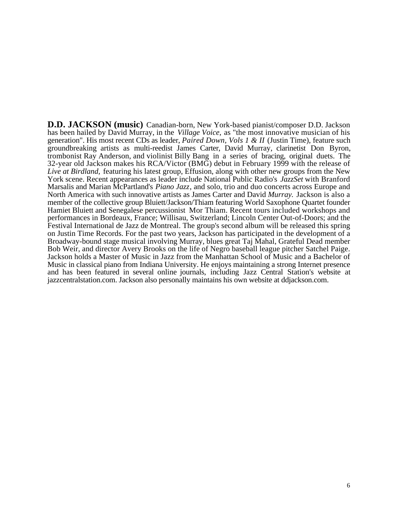**D.D. JACKSON (music)** Canadian-born, New York-based pianist/composer D.D. Jackson has been hailed by David Murray, in the *Village Voice,* as "the most innovative musician of his generation". His most recent CDs as leader, *Paired Down, Vols 1 & II* (Justin Time), feature such groundbreaking artists as multi-reedist James Carter, David Murray, clarinetist Don Byron, trombonist Ray Anderson, and violinist Billy Bang in a series of bracing, original duets. The 32-year old Jackson makes his RCA/Victor (BMG) debut in February 1999 with the release of *Live at Birdland,* featuring his latest group, Effusion, along with other new groups from the New York scene. Recent appearances as leader include National Public Radio's *JazzSet* with Branford Marsalis and Marian McPartland's *Piano Jazz*, and solo, trio and duo concerts across Europe and North America with such innovative artists as James Carter and David *Murray.* Jackson is also a member of the collective group Bluiett/Jackson/Thiam featuring World Saxophone Quartet founder Hamiet Bluiett and Senegalese percussionist Mor Thiam. Recent tours included workshops and performances in Bordeaux, France; Willisau, Switzerland; Lincoln Center Out-of-Doors; and the Festival International de Jazz de Montreal. The group's second album will be released this spring on Justin Time Records. For the past two years, Jackson has participated in the development of a Broadway-bound stage musical involving Murray, blues great Taj Mahal, Grateful Dead member Bob Weir, and director Avery Brooks on the life of Negro baseball league pitcher Satchel Paige. Jackson holds a Master of Music in Jazz from the Manhattan School of Music and a Bachelor of Music in classical piano from Indiana University. He enjoys maintaining a strong Internet presence and has been featured in several online journals, including Jazz Central Station's website at [jazzcentralstation.com.](http://www.jazzcentralstation.com) Jackson also personally maintains his own website at [ddjackson.com.](http://www.ddjackson.com)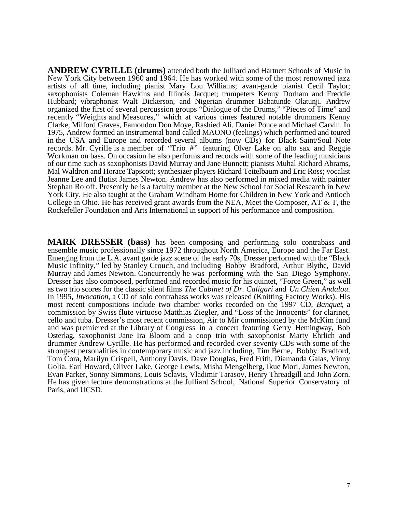**ANDREW CYRILLE (drums)** attended both the Julliard and Hartnett Schools of Music in New York City between 1960 and 1964. He has worked with some of the most renowned jazz artists of all time, including pianist Mary Lou Williams; avant-garde pianist Cecil Taylor; saxophonists Coleman Hawkins and Illinois Jacquet; trumpeters Kenny Dorham and Freddie Hubbard; vibraphonist Walt Dickerson, and Nigerian drummer Babatunde Olatunji. Andrew organized the first of several percussion groups "Dialogue of the Drums," "Pieces of Time" and recently "Weights and Measures," which at various times featured notable drummers Kenny Clarke, Milford Graves, Famoudou Don Moye, Rashied Ali. Daniel Ponce and Michael Carvin. In 1975, Andrew formed an instrumental band called MAONO (feelings) which performed and toured in the USA and Europe and recorded several albums (now CDs) for Black Saint/Soul Note records. Mr. Cyrille is a member of "Trio #" featuring Olver Lake on alto sax and Reggie Workman on bass. On occasion he also performs and records with some of the leading musicians of our time such as saxophonists David Murray and Jane Bunnett; pianists Muhal Richard Abrams, Mal Waldron and Horace Tapscott; synthesizer players Richard Teitelbaum and Eric Ross; vocalist Jeanne Lee and flutist James Newton. Andrew has also performed in mixed media with painter Stephan Roloff. Presently he is a faculty member at the New School for Social Research in New York City. He also taught at the Graham Windham Home for Children in New York and Antioch College in Ohio. He has received grant awards from the NEA, Meet the Composer, AT & T, the Rockefeller Foundation and Arts International in support of his performance and composition.

**MARK DRESSER (bass)** has been composing and performing solo contrabass and ensemble music professionally since 1972 throughout North America, Europe and the Far East. Emerging from the L.A. avant garde jazz scene of the early 70s, Dresser performed with the "Black Music Infinity," led by Stanley Crouch, and including Bobby Bradford, Arthur Blythe, David Murray and James Newton. Concurrently he was performing with the San Diego Symphony. Dresser has also composed, performed and recorded music for his quintet, "Force Green," as well as two trio scores for the classic silent films *The Cabinet of Dr. Caligari* and *Un Chien Andalou*. In 1995, *Invocation*, a CD of solo contrabass works was released (Knitting Factory Works). His most recent compositions include two chamber works recorded on the 1997 CD, *Banquet*, a commission by Swiss flute virtuoso Matthias Ziegler, and "Loss of the Innocents" for clarinet, cello and tuba. Dresser's most recent commission, Air to Mir commissioned by the McKim fund and was premiered at the Library of Congress in a concert featuring Gerry Hemingway, Bob Osterlag, saxophonist Jane Ira Bloom and a coop trio with saxophonist Marty Ehrlich and drummer Andrew Cyrille. He has performed and recorded over seventy CDs with some of the strongest personalities in contemporary music and jazz including, Tim Berne, Bobby Bradford, Tom Cora, Marilyn Crispell, Anthony Davis, Dave Douglas, Fred Frith, Diamanda Galas, Vinny Golia, Earl Howard, Oliver Lake, George Lewis, Misha Mengelberg, Ikue Mori, James Newton, Evan Parker, Sonny Simmons, Louis Sclavis, Vladimir Tarasov, Henry Threadgill and John Zorn. He has given lecture demonstrations at the Julliard School, National Superior Conservatory of Paris, and UCSD.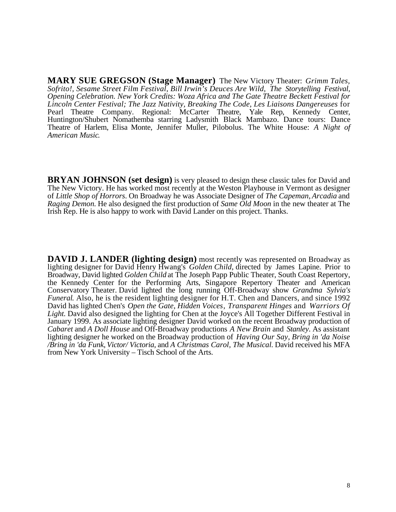**MARY SUE GREGSON (Stage Manager)** The New Victory Theater: *Grimm Tales, Sofrito!, Sesame Street Film Festival, Bill Irwin's Deuces Are Wild, The Storytelling Festival, Opening Celebration. New York Credits: Woza Africa and The Gate Theatre Beckett Festival for Lincoln Center Festival; The Jazz Nativity, Breaking The Code, Les Liaisons Dangereuses* for Pearl Theatre Company. Regional: McCarter Theatre, Yale Rep, Kennedy Center, Huntington/Shubert Nomathemba starring Ladysmith Black Mambazo. Dance tours: Dance Theatre of Harlem, Elisa Monte, Jennifer Muller, Pilobolus. The White House: *A Night of American Music*.

**BRYAN JOHNSON (set design)** is very pleased to design these classic tales for David and The New Victory. He has worked most recently at the Weston Playhouse in Vermont as designer of *Little Shop of Horrors*. On Broadway he was Associate Designer of *The Capeman*, *Arcadia* and *Raging Demon*. He also designed the first production of *Same Old Moon* in the new theater at The Irish Rep. He is also happy to work with David Lander on this project. Thanks.

**DAVID J. LANDER (lighting design)** most recently was represented on Broadway as lighting designer for David Henry Hwang's *Golden Child*, directed by James Lapine. Prior to Broadway, David lighted *Golden Child* at The Joseph Papp Public Theater, South Coast Repertory, the Kennedy Center for the Performing Arts, Singapore Repertory Theater and American Conservatory Theater. David lighted the long running Off-Broadway show *Grandma Sylvia's Funeral*. Also, he is the resident lighting designer for H.T. Chen and Dancers, and since 1992 David has lighted Chen's *Open the Gate*, *Hidden Voices*, *Transparent Hinges* and *Warriors Of Light*. David also designed the lighting for Chen at the Joyce's All Together Different Festival in January 1999. As associate lighting designer David worked on the recent Broadway production of *Cabaret* and *A Doll House* and Off-Broadway productions *A New Brain* and *Stanley*. As assistant lighting designer he worked on the Broadway production of *Having Our Say*, *Bring in 'da Noise /Bring in 'da Funk*, *Victor/ Victoria*, and *A Christmas Carol, The Musical*. David received his MFA from New York University – Tisch School of the Arts.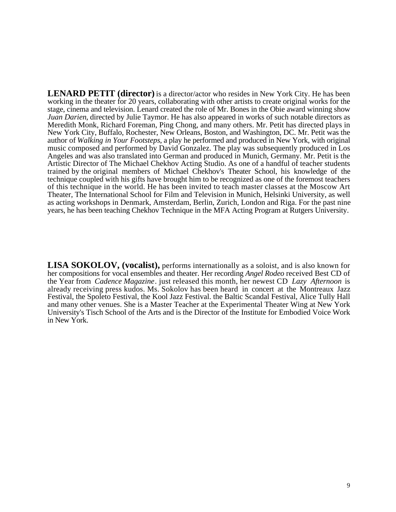**LENARD PETIT (director)** is a director/actor who resides in New York City. He has been working in the theater for 20 years, collaborating with other artists to create original works for the stage, cinema and television. Lenard created the role of Mr. Bones in the Obie award winning show *Juan Darien*, directed by Julie Taymor. He has also appeared in works of such notable directors as Meredith Monk, Richard Foreman, Ping Chong, and many others. Mr. Petit has directed plays in New York City, Buffalo, Rochester, New Orleans, Boston, and Washington, DC. Mr. Petit was the author of *Walking in Your Footsteps*, a play he performed and produced in New York, with original music composed and performed by David Gonzalez. The play was subsequently produced in Los Angeles and was also translated into German and produced in Munich, Germany. Mr. Petit is the Artistic Director of The Michael Chekhov Acting Studio. As one of a handful of teacher students trained by the original members of Michael Chekhov's Theater School, his knowledge of the technique coupled with his gifts have brought him to be recognized as one of the foremost teachers of this technique in the world. He has been invited to teach master classes at the Moscow Art Theater, The International School for Film and Television in Munich, Helsinki University, as well as acting workshops in Denmark, Amsterdam, Berlin, Zurich, London and Riga. For the past nine years, he has been teaching Chekhov Technique in the MFA Acting Program at Rutgers University.

**LISA SOKOLOV, (vocalist),** performs internationally as a soloist, and is also known for her compositions for vocal ensembles and theater. Her recording *Angel Rodeo* received Best CD of the Year from *Cadence Magazine*. just released this month, her newest CD *Lazy Afternoon* is already receiving press kudos. Ms. Sokolov has been heard in concert at the Montreaux Jazz Festival, the Spoleto Festival, the Kool Jazz Festival. the Baltic Scandal Festival, Alice Tully Hall and many other venues. She is a Master Teacher at the Experimental Theater Wing at New York University's Tisch School of the Arts and is the Director of the Institute for Embodied Voice Work in New York.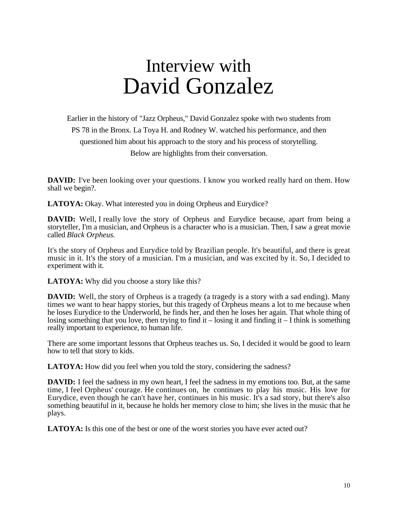# Interview with David Gonzalez

Earlier in the history of "Jazz Orpheus," David Gonzalez spoke with two students from PS 78 in the Bronx. La Toya H. and Rodney W. watched his performance, and then questioned him about his approach to the story and his process of storytelling. Below are highlights from their conversation.

**DAVID:** I've been looking over your questions. I know you worked really hard on them. How shall we begin?.

**LATOYA:** Okay. What interested you in doing Orpheus and Eurydice?

**DAVID:** Well, I really love the story of Orpheus and Eurydice because, apart from being a storyteller, I'm a musician, and Orpheus is a character who is a musician. Then, I saw a great movie called *Black Orpheus.*

It's the story of Orpheus and Eurydice told by Brazilian people. It's beautiful, and there is great music in it. It's the story of a musician. I'm a musician, and was excited by it. So, I decided to experiment with it.

**LATOYA:** Why did you choose a story like this?

**DAVID:** Well, the story of Orpheus is a tragedy (a tragedy is a story with a sad ending). Many times we want to hear happy stories, but this tragedy of Orpheus means a lot to me because when he loses Eurydice to the Underworld, he finds her, and then he loses her again. That whole thing of losing something that you love, then trying to find it – losing it and finding it – I think is something really important to experience, to human life.

There are some important lessons that Orpheus teaches us. So, I decided it would be good to learn how to tell that story to kids.

**LATOYA:** How did you feel when you told the story, considering the sadness?

**DAVID:** I feel the sadness in my own heart, I feel the sadness in my emotions too. But, at the same time, I feel Orpheus' courage. He continues on, he continues to play his music. His love for Eurydice, even though he can't have her, continues in his music. It's a sad story, but there's also something beautiful in it, because he holds her memory close to him; she lives in the music that he plays.

LATOYA: Is this one of the best or one of the worst stories you have ever acted out?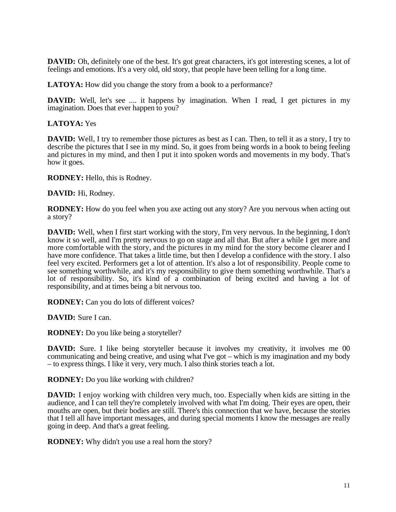**DAVID:** Oh, definitely one of the best. It's got great characters, it's got interesting scenes, a lot of feelings and emotions. It's a very old, old story, that people have been telling for a long time.

**LATOYA:** How did you change the story from a book to a performance?

**DAVID:** Well, let's see .... it happens by imagination. When I read, I get pictures in my imagination. Does that ever happen to you?

#### **LATOYA:** Yes

**DAVID:** Well, I try to remember those pictures as best as I can. Then, to tell it as a story, I try to describe the pictures that I see in my mind. So, it goes from being words in a book to being feeling and pictures in my mind, and then I put it into spoken words and movements in my body. That's how it goes.

**RODNEY:** Hello, this is Rodney.

**DAVID:** Hi, Rodney.

**RODNEY:** How do you feel when you axe acting out any story? Are you nervous when acting out a story?

**DAVID:** Well, when I first start working with the story, I'm very nervous. In the beginning, I don't know it so well, and I'm pretty nervous to go on stage and all that. But after a while I get more and more comfortable with the story, and the pictures in my mind for the story become clearer and I have more confidence. That takes a little time, but then I develop a confidence with the story. I also feel very excited. Performers get a lot of attention. It's also a lot of responsibility. People come to see something worthwhile, and it's my responsibility to give them something worthwhile. That's a lot of responsibility. So, it's kind of a combination of being excited and having a lot of responsibility, and at times being a bit nervous too.

**RODNEY:** Can you do lots of different voices?

**DAVID:** Sure I can.

**RODNEY:** Do you like being a storyteller?

**DAVID:** Sure. I like being storyteller because it involves my creativity, it involves me 00 communicating and being creative, and using what I've got – which is my imagination and my body – to express things. I like it very, very much. I also think stories teach a lot.

**RODNEY:** Do you like working with children?

**DAVID:** I enjoy working with children very much, too. Especially when kids are sitting in the audience, and I can tell they're completely involved with what I'm doing. Their eyes are open, their mouths are open, but their bodies are still. There's this connection that we have, because the stories that I tell all have important messages, and during special moments I know the messages are really going in deep. And that's a great feeling.

**RODNEY:** Why didn't you use a real horn the story?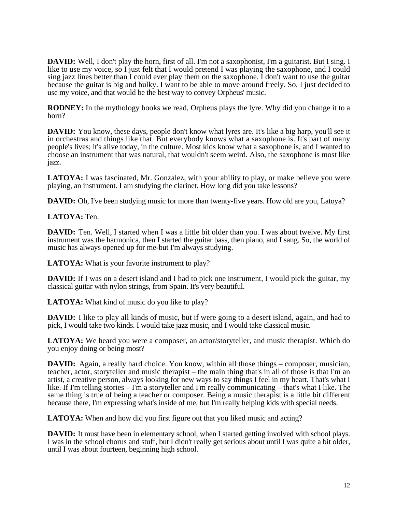**DAVID:** Well, I don't play the horn, first of all. I'm not a saxophonist, I'm a guitarist. But I sing. I like to use my voice, so I just felt that I would pretend I was playing the saxophone, and I could sing jazz lines better than I could ever play them on the saxophone. I don't want to use the guitar because the guitar is big and bulky. I want to be able to move around freely. So, I just decided to use my voice, and that would be the best way to convey Orpheus' music.

**RODNEY:** In the mythology books we read, Orpheus plays the lyre. Why did you change it to a horn?

**DAVID:** You know, these days, people don't know what lyres are. It's like a big harp, you'll see it in orchestras and things like that. But everybody knows what a saxophone is. It's part of many people's lives; it's alive today, in the culture. Most kids know what a saxophone is, and I wanted to choose an instrument that was natural, that wouldn't seem weird. Also, the saxophone is most like jazz.

LATOYA: I was fascinated, Mr. Gonzalez, with your ability to play, or make believe you were playing, an instrument. I am studying the clarinet. How long did you take lessons?

**DAVID:** Oh, I've been studying music for more than twenty-five years. How old are you, Latoya?

**LATOYA:** Ten.

**DAVID:** Ten. Well, I started when I was a little bit older than you. I was about twelve. My first instrument was the harmonica, then I started the guitar bass, then piano, and I sang. So, the world of music has always opened up for me-but I'm always studying.

**LATOYA:** What is your favorite instrument to play?

**DAVID:** If I was on a desert island and I had to pick one instrument, I would pick the guitar, my classical guitar with nylon strings, from Spain. It's very beautiful.

**LATOYA:** What kind of music do you like to play?

**DAVID:** I like to play all kinds of music, but if were going to a desert island, again, and had to pick, I would take two kinds. I would take jazz music, and I would take classical music.

LATOYA: We heard you were a composer, an actor/storyteller, and music therapist. Which do you enjoy doing or being most?

**DAVID:** Again, a really hard choice. You know, within all those things – composer, musician, teacher, actor, storyteller and music therapist – the main thing that's in all of those is that I'm an artist, a creative person, always looking for new ways to say things I feel in my heart. That's what I like. If I'm telling stories – I'm a storyteller and I'm really communicating – that's what I like. The same thing is true of being a teacher or composer. Being a music therapist is a little bit different because there, I'm expressing what's inside of me, but I'm really helping kids with special needs.

**LATOYA:** When and how did you first figure out that you liked music and acting?

**DAVID:** It must have been in elementary school, when I started getting involved with school plays. I was in the school chorus and stuff, but I didn't really get serious about until I was quite a bit older, until I was about fourteen, beginning high school.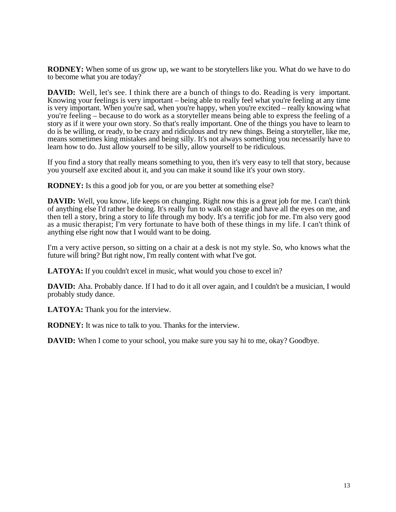**RODNEY:** When some of us grow up, we want to be storytellers like you. What do we have to do to become what you are today?

**DAVID:** Well, let's see. I think there are a bunch of things to do. Reading is very important. Knowing your feelings is very important – being able to really feel what you're feeling at any time is very important. When you're sad, when you're happy, when you're excited – really knowing what you're feeling – because to do work as a storyteller means being able to express the feeling of a story as if it were your own story. So that's really important. One of the things you have to learn to do is be willing, or ready, to be crazy and ridiculous and try new things. Being a storyteller, like me, means sometimes king mistakes and being silly. It's not always something you necessarily have to learn how to do. Just allow yourself to be silly, allow yourself to be ridiculous.

If you find a story that really means something to you, then it's very easy to tell that story, because you yourself axe excited about it, and you can make it sound like it's your own story.

**RODNEY:** Is this a good job for you, or are you better at something else?

**DAVID:** Well, you know, life keeps on changing. Right now this is a great job for me. I can't think of anything else I'd rather be doing. It's really fun to walk on stage and have all the eyes on me, and then tell a story, bring a story to life through my body. It's a terrific job for me. I'm also very good as a music therapist; I'm very fortunate to have both of these things in my life. I can't think of anything else right now that I would want to be doing.

I'm a very active person, so sitting on a chair at a desk is not my style. So, who knows what the future will bring? But right now, I'm really content with what I've got.

**LATOYA:** If you couldn't excel in music, what would you chose to excel in?

**DAVID:** Aha. Probably dance. If I had to do it all over again, and I couldn't be a musician, I would probably study dance.

**LATOYA:** Thank you for the interview.

**RODNEY:** It was nice to talk to you. Thanks for the interview.

**DAVID:** When I come to your school, you make sure you say hi to me, okay? Goodbye.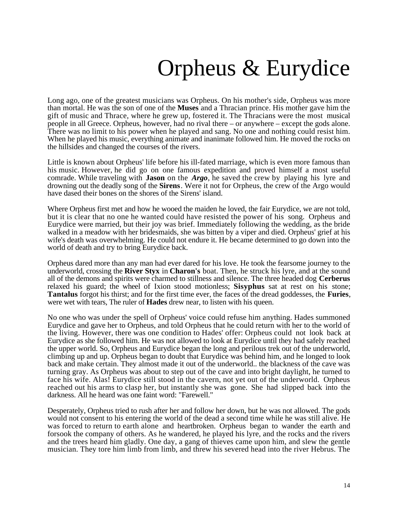# Orpheus & Eurydice

Long ago, one of the greatest musicians was Orpheus. On his mother's side, Orpheus was more than mortal. He was the son of one of the **Muses** and a Thracian prince. His mother gave him the gift of music and Thrace, where he grew up, fostered it. The Thracians were the most musical people in all Greece. Orpheus, however, had no rival there – or anywhere – except the gods alone. There was no limit to his power when he played and sang. No one and nothing could resist him. When he played his music, everything animate and inanimate followed him. He moved the rocks on the hillsides and changed the courses of the rivers.

Little is known about Orpheus' life before his ill-fated marriage, which is even more famous than his music. However, he did go on one famous expedition and proved himself a most useful comrade. While traveling with **Jason** on the *Argo*, he saved the crew by playing his lyre and drowning out the deadly song of the **Sirens**. Were it not for Orpheus, the crew of the Argo would have dased their bones on the shores of the Sirens' island.

Where Orpheus first met and how he wooed the maiden he loved, the fair Eurydice, we are not told, but it is clear that no one he wanted could have resisted the power of his song. Orpheus and Eurydice were married, but their joy was brief. Immediately following the wedding, as the bride walked in a meadow with her bridesmaids, she was bitten by a viper and died. Orpheus' grief at his wife's death was overwhelming. He could not endure it. He became determined to go down into the world of death and try to bring Eurydice back.

Orpheus dared more than any man had ever dared for his love. He took the fearsome journey to the underworld, crossing the **River Styx** in **Charon's** boat. Then, he struck his lyre, and at the sound all of the demons and spirits were charmed to stillness and silence. The three headed dog **Cerberus** relaxed his guard; the wheel of Ixion stood motionless; **Sisyphus** sat at rest on his stone; **Tantalus** forgot his thirst; and for the first time ever, the faces of the dread goddesses, the **Furies**, were wet with tears, The ruler of **Hades** drew near, to listen with his queen.

No one who was under the spell of Orpheus' voice could refuse him anything. Hades summoned Eurydice and gave her to Orpheus, and told Orpheus that he could return with her to the world of the living. However, there was one condition to Hades' offer: Orpheus could not look back at Eurydice as she followed him. He was not allowed to look at Eurydice until they had safely reached the upper world. So, Orpheus and Eurydice began the long and perilous trek out of the underworld, climbing up and up. Orpheus began to doubt that Eurydice was behind him, and he longed to look back and make certain. They almost made it out of the underworld.. the blackness of the cave was turning gray. As Orpheus was about to step out of the cave and into bright daylight, he turned to face his wife. Alas! Eurydice still stood in the cavern, not yet out of the underworld. Orpheus reached out his arms to clasp her, but instantly she was gone. She had slipped back into the darkness. All he heard was one faint word: "Farewell."

Desperately, Orpheus tried to rush after her and follow her down, but he was not allowed. The gods would not consent to his entering the world of the dead a second time while he was still alive. He was forced to return to earth alone and heartbroken. Orpheus began to wander the earth and forsook the company of others. As he wandered, he played his lyre, and the rocks and the rivers and the trees heard him gladly. One day, a gang of thieves came upon him, and slew the gentle musician. They tore him limb from limb, and threw his severed head into the river Hebrus. The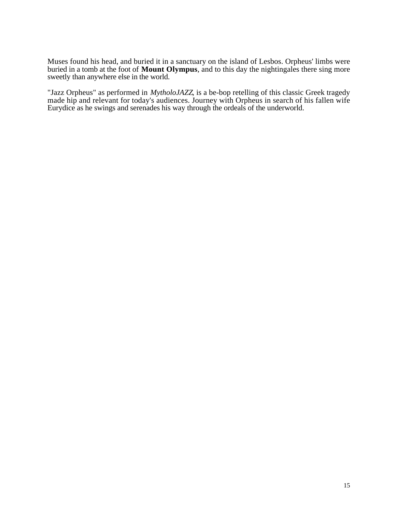Muses found his head, and buried it in a sanctuary on the island of Lesbos. Orpheus' limbs were buried in a tomb at the foot of **Mount Olympus**, and to this day the nightingales there sing more sweetly than anywhere else in the world.

"Jazz Orpheus" as performed in *MytholoJAZZ*, is a be-bop retelling of this classic Greek tragedy made hip and relevant for today's audiences. Journey with Orpheus in search of his fallen wife Eurydice as he swings and serenades his way through the ordeals of the underworld.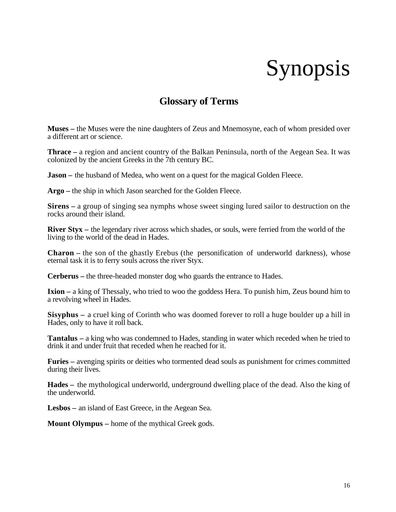# Synopsis

### **Glossary of Terms**

**Muses –** the Muses were the nine daughters of Zeus and Mnemosyne, each of whom presided over a different art or science.

**Thrace –** a region and ancient country of the Balkan Peninsula, north of the Aegean Sea. It was colonized by the ancient Greeks in the 7th century BC.

**Jason** – the husband of Medea, who went on a quest for the magical Golden Fleece.

**Argo –** the ship in which Jason searched for the Golden Fleece.

**Sirens –** a group of singing sea nymphs whose sweet singing lured sailor to destruction on the rocks around their island.

**River Styx –** the legendary river across which shades, or souls, were ferried from the world of the living to the world of the dead in Hades.

**Charon –** the son of the ghastly Erebus (the personification of underworld darkness), whose eternal task it is to ferry souls across the river Styx.

**Cerberus –** the three-headed monster dog who guards the entrance to Hades.

**Ixion –** a king of Thessaly, who tried to woo the goddess Hera. To punish him, Zeus bound him to a revolving wheel in Hades.

**Sisyphus –** a cruel king of Corinth who was doomed forever to roll a huge boulder up a hill in Hades, only to have it roll back.

**Tantalus –** a king who was condemned to Hades, standing in water which receded when he tried to drink it and under fruit that receded when he reached for it.

**Furies –** avenging spirits or deities who tormented dead souls as punishment for crimes committed during their lives.

**Hades –** the mythological underworld, underground dwelling place of the dead. Also the king of the underworld.

**Lesbos –** an island of East Greece, in the Aegean Sea.

**Mount Olympus –** home of the mythical Greek gods.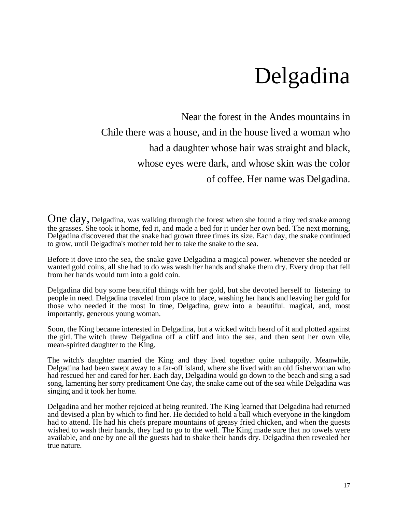# Delgadina

Near the forest in the Andes mountains in Chile there was a house, and in the house lived a woman who had a daughter whose hair was straight and black, whose eyes were dark, and whose skin was the color of coffee. Her name was Delgadina.

One day, Delgadina, was walking through the forest when she found a tiny red snake among the grasses. She took it home, fed it, and made a bed for it under her own bed. The next morning, Delgadina discovered that the snake had grown three times its size. Each day, the snake continued to grow, until Delgadina's mother told her to take the snake to the sea.

Before it dove into the sea, the snake gave Delgadina a magical power. whenever she needed or wanted gold coins, all she had to do was wash her hands and shake them dry. Every drop that fell from her hands would turn into a gold coin.

Delgadina did buy some beautiful things with her gold, but she devoted herself to listening to people in need. Delgadina traveled from place to place, washing her hands and leaving her gold for those who needed it the most In time, Delgadina, grew into a beautiful. magical, and, most importantly, generous young woman.

Soon, the King became interested in Delgadina, but a wicked witch heard of it and plotted against the girl. The witch threw Delgadina off a cliff and into the sea, and then sent her own vile, mean-spirited daughter to the King.

The witch's daughter married the King and they lived together quite unhappily. Meanwhile, Delgadina had been swept away to a far-off island, where she lived with an old fisherwoman who had rescued her and cared for her. Each day, Delgadina would go down to the beach and sing a sad song, lamenting her sorry predicament One day, the snake came out of the sea while Delgadina was singing and it took her home.

Delgadina and her mother rejoiced at being reunited. The King learned that Delgadina had returned and devised a plan by which to find her. He decided to hold a ball which everyone in the kingdom had to attend. He had his chefs prepare mountains of greasy fried chicken, and when the guests wished to wash their hands, they had to go to the well. The King made sure that no towels were available, and one by one all the guests had to shake their hands dry. Delgadina then revealed her true nature.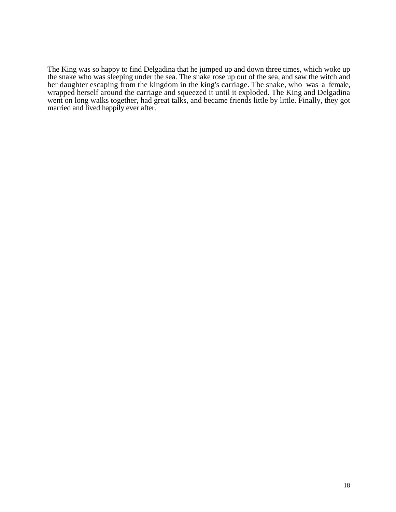The King was so happy to find Delgadina that he jumped up and down three times, which woke up the snake who was sleeping under the sea. The snake rose up out of the sea, and saw the witch and her daughter escaping from the kingdom in the king's carriage. The snake, who was a female, wrapped herself around the carriage and squeezed it until it exploded. The King and Delgadina went on long walks together, had great talks, and became friends little by little. Finally, they got married and lived happily ever after.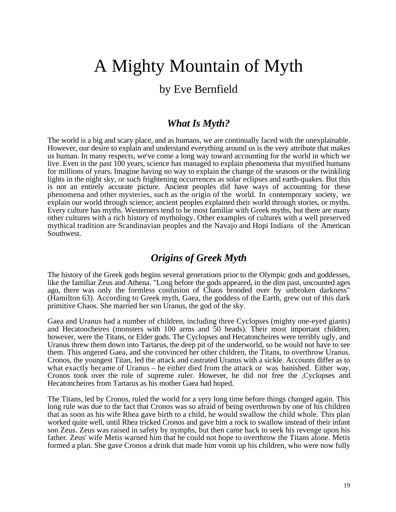# A Mighty Mountain of Myth

## by Eve Bernfield

#### *What Is Myth?*

The world is a big and scary place, and as humans, we are continually faced with the unexplainable. However, our desire to explain and understand everything around us is the very attribute that makes us human. In many respects, we've come a long way toward accounting for the world in which we live. Even in the past 100 years, science has managed to explain phenomena that mystified humans for millions of years. Imagine having no way to explain the change of the seasons or the twinkling lights in the night sky, or such frightening occurrences as solar eclipses and earth-quakes. But this is not an entirely accurate picture. Ancient peoples did have ways of accounting for these phenomena and other mysteries, such as the origin of the world. In contemporary society, we explain our world through science; ancient peoples explained their world through stories, or myths. Every culture has myths. Westerners tend to be most familiar with Greek myths, but there are many other cultures with a rich history of mythology. Other examples of cultures with a well preserved mythical tradition are Scandinavian peoples and the Navajo and Hopi Indians of the American Southwest.

### *Origins of Greek Myth*

The history of the Greek gods begins several generations prior to the Olympic gods and goddesses, like the familiar Zeus and Athena. "Long before the gods appeared, in the dim past, uncounted ages ago, there was only the formless confusion of Chaos brooded over by unbroken darkness" (Hamilton 63). According to Greek myth, Gaea, the goddess of the Earth, grew out of this dark primitive Chaos. She married her son Uranus, the god of the sky.

Gaea and Uranus had a number of children, including three Cyclopses (mighty one-eyed giants) and Hecatoncheires (monsters with 100 arms and 50 heads). Their most important children, however, were the Titans, or Elder gods. The Cyclopses and Hecatoncheires were terribly ugly, and Uranus threw them down into Tartarus, the deep pit of the underworld, so he would not have to see them. This angered Gaea, and she convinced her other children, the Titans, to overthrow Uranus. Cronos, the youngest Titan, led the attack and castrated Uranus with a sickle. Accounts differ as to what exactly became of Uranus – he either died from the attack or was banished. Either way, Cronos took over the role of supreme ruler. However, he did not free the ,Cyclopses and Hecatoncheires from Tartarus as his mother Gaea had hoped.

The Titans, led by Cronos, ruled the world for a very long time before things changed again. This long rule was due to the fact that Cronos was so afraid of being overthrown by one of his children that as soon as his wife Rhea gave birth to a child, he would swallow the child whole. This plan worked quite well, until Rhea tricked Cronos and gave him a rock to swallow instead of their infant son Zeus. Zeus was raised in safety by nymphs, but then came back to seek his revenge upon his father. Zeus' wife Metis warned him that he could not hope to overthrow the Titans alone. Metis formed a plan. She gave Cronos a drink that made him vomit up his children, who were now fully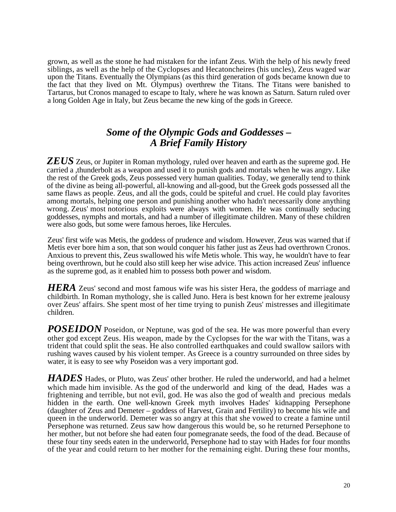grown, as well as the stone he had mistaken for the infant Zeus. With the help of his newly freed siblings, as well as the help of the Cyclopses and Hecatoncheires (his uncles), Zeus waged war upon the Titans. Eventually the Olympians (as this third generation of gods became known due to the fact that they lived on Mt. Olympus) overthrew the Titans. The Titans were banished to Tartarus, but Cronos managed to escape to Italy, where he was known as Saturn. Saturn ruled over a long Golden Age in Italy, but Zeus became the new king of the gods in Greece.

## *Some of the Olympic Gods and Goddesses – A Brief Family History*

*ZEUS* Zeus, or Jupiter in Roman mythology, ruled over heaven and earth as the supreme god. He carried a ,thunderbolt as a weapon and used it to punish gods and mortals when he was angry. Like the rest of the Greek gods, Zeus possessed very human qualities. Today, we generally tend to think of the divine as being all-powerful, all-knowing and all-good, but the Greek gods possessed all the same flaws as people. Zeus, and all the gods, could be spiteful and cruel. He could play favorites among mortals, helping one person and punishing another who hadn't necessarily done anything wrong. Zeus' most notorious exploits were always with women. He was continually seducing goddesses, nymphs and mortals, and had a number of illegitimate children. Many of these children were also gods, but some were famous heroes, like Hercules.

Zeus' first wife was Metis, the goddess of prudence and wisdom. However, Zeus was warned that if Metis ever bore him a son, that son would conquer his father just as Zeus had overthrown Cronos. Anxious to prevent this, Zeus swallowed his wife Metis whole. This way, he wouldn't have to fear being overthrown, but he could also still keep her wise advice. This action increased Zeus' influence as the supreme god, as it enabled him to possess both power and wisdom.

**HERA** Zeus' second and most famous wife was his sister Hera, the goddess of marriage and childbirth. In Roman mythology, she is called Juno. Hera is best known for her extreme jealousy over Zeus' affairs. She spent most of her time trying to punish Zeus' mistresses and illegitimate children.

**POSEIDON** Poseidon, or Neptune, was god of the sea. He was more powerful than every other god except Zeus. His weapon, made by the Cyclopses for the war with the Titans, was a trident that could split the seas. He also controlled earthquakes and could swallow sailors with rushing waves caused by his violent temper. As Greece is a country surrounded on three sides by water, it is easy to see why Poseidon was a very important god.

*HADES* Hades, or Pluto, was Zeus' other brother. He ruled the underworld, and had a helmet which made him invisible. As the god of the underworld and king of the dead, Hades was a frightening and terrible, but not evil, god. He was also the god of wealth and precious medals hidden in the earth. One well-known Greek myth involves Hades' kidnapping Persephone (daughter of Zeus and Demeter – goddess of Harvest, Grain and Fertility) to become his wife and queen in the underworld. Demeter was so angry at this that she vowed to create a famine until Persephone was returned. Zeus saw how dangerous this would be, so he returned Persephone to her mother, but not before she had eaten four pomegranate seeds, the food of the dead. Because of these four tiny seeds eaten in the underworld, Persephone had to stay with Hades for four months of the year and could return to her mother for the remaining eight. During these four months,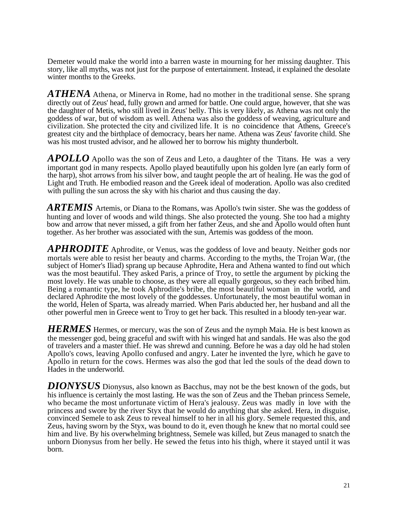Demeter would make the world into a barren waste in mourning for her missing daughter. This story, like all myths, was not just for the purpose of entertainment. Instead, it explained the desolate winter months to the Greeks.

*ATHENA* Athena, or Minerva in Rome, had no mother in the traditional sense. She sprang directly out of Zeus' head, fully grown and armed for battle. One could argue, however, that she was the daughter of Metis, who still lived in Zeus' belly. This is very likely, as Athena was not only the goddess of war, but of wisdom as well. Athena was also the goddess of weaving, agriculture and civilization. She protected the city and civilized life. It is no coincidence that Athens, Greece's greatest city and the birthplace of democracy, bears her name. Athena was Zeus' favorite child. She was his most trusted advisor, and he allowed her to borrow his mighty thunderbolt.

*APOLLO* Apollo was the son of Zeus and Leto, a daughter of the Titans. He was a very important god in many respects. Apollo played beautifully upon his golden lyre (an early form of the harp), shot arrows from his silver bow, and taught people the art of healing. He was the god of Light and Truth. He embodied reason and the Greek ideal of moderation. Apollo was also credited with pulling the sun across the sky with his chariot and thus causing the day.

*ARTEMIS* Artemis, or Diana to the Romans, was Apollo's twin sister. She was the goddess of hunting and lover of woods and wild things. She also protected the young. She too had a mighty bow and arrow that never missed, a gift from her father Zeus, and she and Apollo would often hunt together. As her brother was associated with the sun, Artemis was goddess of the moon.

*APHRODITE* Aphrodite, or Venus, was the goddess of love and beauty. Neither gods nor mortals were able to resist her beauty and charms. According to the myths, the Trojan War, (the subject of Homer's Iliad) sprang up because Aphrodite, Hera and Athena wanted to find out which was the most beautiful. They asked Paris, a prince of Troy, to settle the argument by picking the most lovely. He was unable to choose, as they were all equally gorgeous, so they each bribed him. Being a romantic type, he took Aphrodite's bribe, the most beautiful woman in the world, and declared Aphrodite the most lovely of the goddesses. Unfortunately, the most beautiful woman in the world, Helen of Sparta, was already married. When Paris abducted her, her husband and all the other powerful men in Greece went to Troy to get her back. This resulted in a bloody ten-year war.

**HERMES** Hermes, or mercury, was the son of Zeus and the nymph Maia. He is best known as the messenger god, being graceful and swift with his winged hat and sandals. He was also the god of travelers and a master thief. He was shrewd and cunning. Before he was a day old he had stolen Apollo's cows, leaving Apollo confused and angry. Later he invented the lyre, which he gave to Apollo in return for the cows. Hermes was also the god that led the souls of the dead down to Hades in the underworld.

*DIONYSUS* Dionysus, also known as Bacchus, may not be the best known of the gods, but his influence is certainly the most lasting. He was the son of Zeus and the Theban princess Semele, who became the most unfortunate victim of Hera's jealousy. Zeus was madly in love with the princess and swore by the river Styx that he would do anything that she asked. Hera, in disguise, convinced Semele to ask Zeus to reveal himself to her in all his glory. Semele requested this, and Zeus, having sworn by the Styx, was bound to do it, even though he knew that no mortal could see him and live. By his overwhelming brightness, Semele was killed, but Zeus managed to snatch the unborn Dionysus from her belly. He sewed the fetus into his thigh, where it stayed until it was born.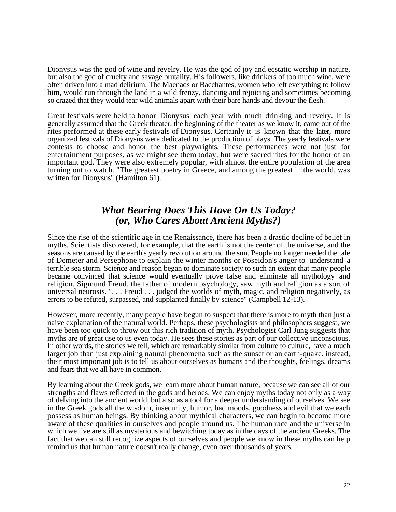Dionysus was the god of wine and revelry. He was the god of joy and ecstatic worship in nature, but also the god of cruelty and savage brutality. His followers, like drinkers of too much wine, were often driven into a mad delirium. The Maenads or Bacchantes, women who left everything to follow him, would run through the land in a wild frenzy, dancing and rejoicing and sometimes becoming so crazed that they would tear wild animals apart with their bare hands and devour the flesh.

Great festivals were held to honor Dionysus each year with much drinking and revelry. It is generally assumed that the Greek theater, the beginning of the theater as we know it, came out of the rites performed at these early festivals of Dionysus. Certainly it is known that the later, more organized festivals of Dionysus were dedicated to the production of plays. The yearly festivals were contests to choose and honor the best playwrights. These performances were not just for entertainment purposes, as we might see them today, but were sacred rites for the honor of an important god. They were also extremely popular, with almost the entire population of the area turning out to watch. "The greatest poetry in Greece, and among the greatest in the world, was written for Dionysus" (Hamilton 61).

### *What Bearing Does This Have On Us Today? (or, Who Cares About Ancient Myths?)*

Since the rise of the scientific age in the Renaissance, there has been a drastic decline of belief in myths. Scientists discovered, for example, that the earth is not the center of the universe, and the seasons are caused by the earth's yearly revolution around the sun. People no longer needed the tale of Demeter and Persephone to explain the winter months or Poseidon's anger to understand a terrible sea storm. Science and reason began to dominate society to such an extent that many people became convinced that science would eventually prove false and eliminate all mythology and religion. Sigmund Freud, the father of modern psychology, saw myth and religion as a sort of universal neurosis. ". . . Freud . . . judged the worlds of myth, magic, and religion negatively, as errors to be refuted, surpassed, and supplanted finally by science" (Campbell 12-13).

However, more recently, many people have begun to suspect that there is more to myth than just a naive explanation of the natural world. Perhaps, these psychologists and philosophers suggest, we have been too quick to throw out this rich tradition of myth. Psychologist Carl Jung suggests that myths are of great use to us even today. He sees these stories as part of our collective unconscious. In other words, the stories we tell, which are remarkably similar from culture to culture, have a much larger job than just explaining natural phenomena such as the sunset or an earth-quake. instead, their most important job is to tell us about ourselves as humans and the thoughts, feelings, dreams and fears that we all have in common.

By learning about the Greek gods, we learn more about human nature, because we can see all of our strengths and flaws reflected in the gods and heroes. We can enjoy myths today not only as a way of delving into the ancient world, but also as a tool for a deeper understanding of ourselves. We see in the Greek gods all the wisdom, insecurity, humor, bad moods, goodness and evil that we each possess as human beings. By thinking about mythical characters, we can begin to become more aware of these qualities in ourselves and people around us. The human race and the universe in which we live are still as mysterious and bewitching today as in the days of the ancient Greeks. The fact that we can still recognize aspects of ourselves and people we know in these myths can help remind us that human nature doesn't really change, even over thousands of years.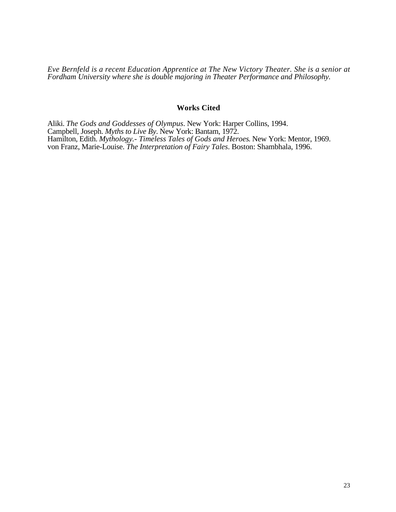*Eve Bernfeld is a recent Education Apprentice at The New Victory Theater. She is a senior at Fordham University where she is double majoring in Theater Performance and Philosophy.*

#### **Works Cited**

Aliki. *The Gods and Goddesses of Olympus*. New York: Harper Collins, 1994. Campbell, Joseph. *Myths to Live By*. New York: Bantam, 1972. Hamilton, Edith. *Mythology.- Timeless Tales of Gods and Heroes*. New York: Mentor, 1969. von Franz, Marie-Louise. *The Interpretation of Fairy Tales*. Boston: Shambhala, 1996.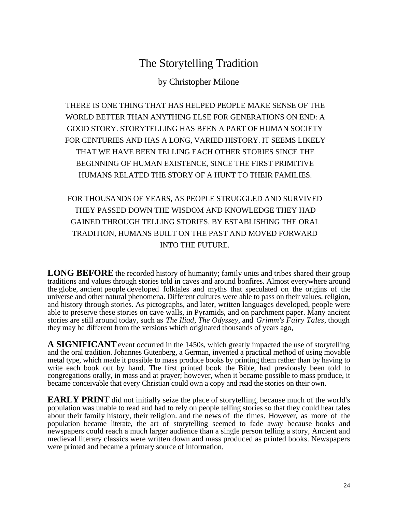# The Storytelling Tradition

by Christopher Milone

THERE IS ONE THING THAT HAS HELPED PEOPLE MAKE SENSE OF THE WORLD BETTER THAN ANYTHING ELSE FOR GENERATIONS ON END: A GOOD STORY. STORYTELLING HAS BEEN A PART OF HUMAN SOCIETY FOR CENTURIES AND HAS A LONG, VARIED HISTORY. IT SEEMS LIKELY THAT WE HAVE BEEN TELLING EACH OTHER STORIES SINCE THE BEGINNING OF HUMAN EXISTENCE, SINCE THE FIRST PRIMITIVE HUMANS RELATED THE STORY OF A HUNT TO THEIR FAMILIES.

## FOR THOUSANDS OF YEARS, AS PEOPLE STRUGGLED AND SURVIVED THEY PASSED DOWN THE WISDOM AND KNOWLEDGE THEY HAD GAINED THROUGH TELLING STORIES. BY ESTABLISHING THE ORAL TRADITION, HUMANS BUILT ON THE PAST AND MOVED FORWARD INTO THE FUTURE.

**LONG BEFORE** the recorded history of humanity; family units and tribes shared their group traditions and values through stories told in caves and around bonfires. Almost everywhere around the globe, ancient people developed folktales and myths that speculated on the origins of the universe and other natural phenomena. Different cultures were able to pass on their values, religion, and history through stories. As pictographs, and later, written languages developed, people were able to preserve these stories on cave walls, in Pyramids, and on parchment paper. Many ancient stories are still around today, such as *The Iliad*, *The Odyssey*, and *Grimm's Fairy Tales*, though they may be different from the versions which originated thousands of years ago,

**A SIGNIFICANT** event occurred in the 1450s, which greatly impacted the use of storytelling and the oral tradition. Johannes Gutenberg, a German, invented a practical method of using movable metal type, which made it possible to mass produce books by printing them rather than by having to write each book out by hand. The first printed book the Bible, had previously been told to congregations orally, in mass and at prayer; however, when it became possible to mass produce, it became conceivable that every Christian could own a copy and read the stories on their own.

**EARLY PRINT** did not initially seize the place of storytelling, because much of the world's population was unable to read and had to rely on people telling stories so that they could hear tales about their family history, their religion. and the news of the times. However, as more of the population became literate, the art of storytelling seemed to fade away because books and newspapers could reach a much larger audience than a single person telling a story, Ancient and medieval literary classics were written down and mass produced as printed books. Newspapers were printed and became a primary source of information.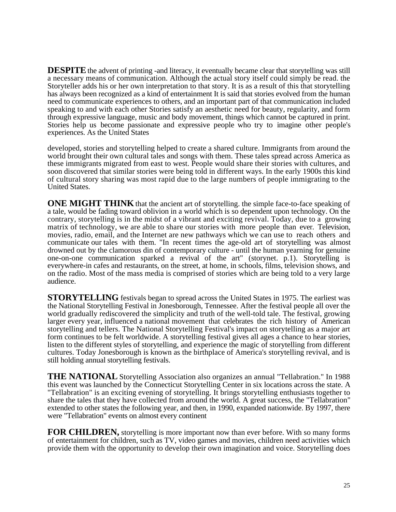**DESPITE** the advent of printing -and literacy, it eventually became clear that storytelling was still a necessary means of communication. Although the actual story itself could simply be read. the Storyteller adds his or her own interpretation to that story. It is as a result of this that storytelling has always been recognized as a kind of entertainment It is said that stories evolved from the human need to communicate experiences to others, and an important part of that communication included speaking to and with each other Stories satisfy an aesthetic need for beauty, regularity, and form through expressive language, music and body movement, things which cannot be captured in print. Stories help us become passionate and expressive people who try to imagine other people's experiences. As the United States

developed, stories and storytelling helped to create a shared culture. Immigrants from around the world brought their own cultural tales and songs with them. These tales spread across America as these immigrants migrated from east to west. People would share their stories with cultures, and soon discovered that similar stories were being told in different ways. In the early 1900s this kind of cultural story sharing was most rapid due to the large numbers of people immigrating to the United States.

**ONE MIGHT THINK** that the ancient art of storytelling, the simple face-to-face speaking of a tale, would be fading toward oblivion in a world which is so dependent upon technology. On the contrary, storytelling is in the midst of a vibrant and exciting revival. Today, due to a growing matrix of technology, we are able to share our stories with more people than ever. Television, movies, radio, email, and the Internet are new pathways which we can use to reach others and communicate our tales with them. "In recent times the age-old art of storytelling was almost drowned out by the clamorous din of contemporary culture - until the human yearning for genuine one-on-one communication sparked a revival of the art" (storynet. p.1). Storytelling is everywhere-in cafes and restaurants, on the street, at home, in schools, films, television shows, and on the radio. Most of the mass media is comprised of stories which are being told to a very large audience.

**STORYTELLING** festivals began to spread across the United States in 1975. The earliest was the National Storytelling Festival in Jonesborough, Tennessee. After the festival people all over the world gradually rediscovered the simplicity and truth of the well-told tale. The festival, growing larger every year, influenced a national movement that celebrates the rich history of American storytelling and tellers. The National Storytelling Festival's impact on storytelling as a major art form continues to be felt worldwide. A storytelling festival gives all ages a chance to hear stories, listen to the different styles of storytelling, and experience the magic of storytelling from different cultures. Today Jonesborough is known as the birthplace of America's storytelling revival, and is still holding annual storytelling festivals.

**THE NATIONAL** Storytelling Association also organizes an annual "Tellabration." In 1988 this event was launched by the Connecticut Storytelling Center in six locations across the state. A "Tellabration" is an exciting evening of storytelling. It brings storytelling enthusiasts together to share the tales that they have collected from around the world. A great success, the "Tellabration" extended to other states the following year, and then, in 1990, expanded nationwide. By 1997, there were "Tellabration" events on almost every continent

**FOR CHILDREN,** storytelling is more important now than ever before. With so many forms of entertainment for children, such as TV, video games and movies, children need activities which provide them with the opportunity to develop their own imagination and voice. Storytelling does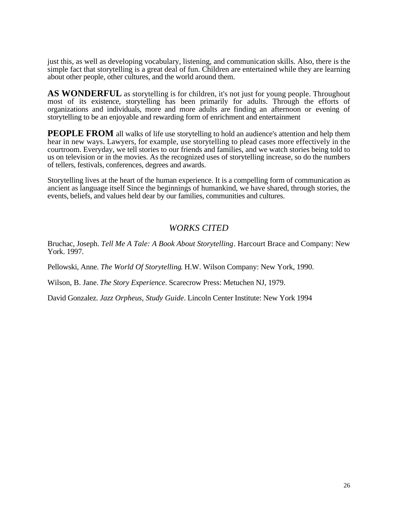just this, as well as developing vocabulary, listening, and communication skills. Also, there is the simple fact that storytelling is a great deal of fun. Children are entertained while they are learning about other people, other cultures, and the world around them.

**AS WONDERFUL** as storytelling is for children, it's not just for young people. Throughout most of its existence, storytelling has been primarily for adults. Through the efforts of organizations and individuals, more and more adults are finding an afternoon or evening of storytelling to be an enjoyable and rewarding form of enrichment and entertainment

**PEOPLE FROM** all walks of life use storytelling to hold an audience's attention and help them hear in new ways. Lawyers, for example, use storytelling to plead cases more effectively in the courtroom. Everyday, we tell stories to our friends and families, and we watch stories being told to us on television or in the movies. As the recognized uses of storytelling increase, so do the numbers of tellers, festivals, conferences, degrees and awards.

Storytelling lives at the heart of the human experience. It is a compelling form of communication as ancient as language itself Since the beginnings of humankind, we have shared, through stories, the events, beliefs, and values held dear by our families, communities and cultures.

#### *WORKS CITED*

Bruchac, Joseph. *Tell Me A Tale: A Book About Storytelling*. Harcourt Brace and Company: New York. 1997.

Pellowski, Anne. *The World Of Storytelling*. H.W. Wilson Company: New York, 1990.

Wilson, B. Jane. *The Story Experience*. Scarecrow Press: Metuchen NJ, 1979.

David Gonzalez. *Jazz Orpheus, Study Guide*. Lincoln Center Institute: New York 1994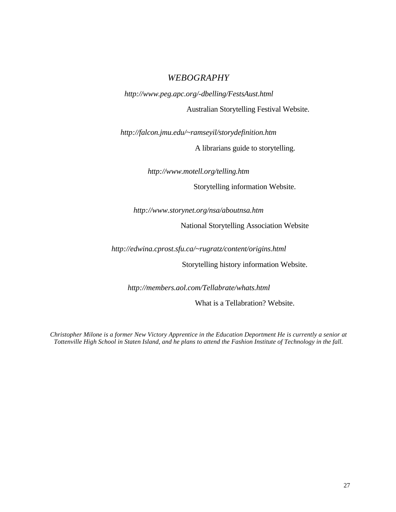#### *WEBOGRAPHY*

*[http://www.peg.apc.org/-dbelling/FestsAust.html](http://www.peg.apc.org/~dbelling/FestsAust.html)*

Australian Storytelling Festival Website.

*<http://falcon.jmu.edu/~ramseyil/storydefinition.htm>*

A librarians guide to storytelling.

*<http://www.motell.org/telling.htm>*

Storytelling information Website.

*[http://www.storynet.org/nsa/aboutnsa.htm](httP//www.storynet.org/nsa/aboutnsa.htm)*

National Storytelling Association Website

*<http://edwina.cprost.sfu.ca/~rugratz/content/origins.html>*

Storytelling history information Website.

*<http://members.aol.com/Tellabrate/whats.html>*

What is a Tellabration? Website.

*Christopher Milone is a former New Victory Apprentice in the Education Deportment He is currently a senior at Tottenville High School in Staten Island, and he plans to attend the Fashion Institute of Technology in the fall.*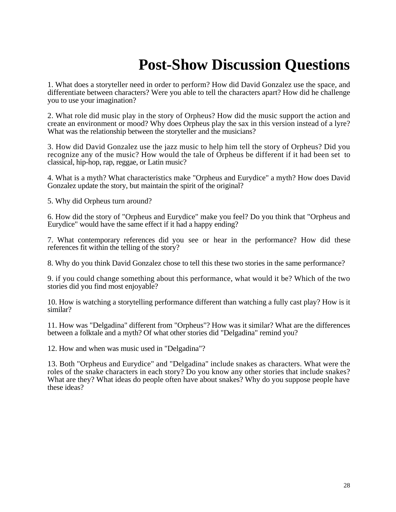# **Post-Show Discussion Questions**

1. What does a storyteller need in order to perform? How did David Gonzalez use the space, and differentiate between characters? Were you able to tell the characters apart? How did he challenge you to use your imagination?

2. What role did music play in the story of Orpheus? How did the music support the action and create an environment or mood? Why does Orpheus play the sax in this version instead of a lyre? What was the relationship between the storyteller and the musicians?

3. How did David Gonzalez use the jazz music to help him tell the story of Orpheus? Did you recognize any of the music? How would the tale of Orpheus be different if it had been set to classical, hip-hop, rap, reggae, or Latin music?

4. What is a myth? What characteristics make "Orpheus and Eurydice" a myth? How does David Gonzalez update the story, but maintain the spirit of the original?

5. Why did Orpheus turn around?

6. How did the story of "Orpheus and Eurydice" make you feel? Do you think that "Orpheus and Eurydice" would have the same effect if it had a happy ending?

7. What contemporary references did you see or hear in the performance? How did these references fit within the telling of the story?

8. Why do you think David Gonzalez chose to tell this these two stories in the same performance?

9. if you could change something about this performance, what would it be? Which of the two stories did you find most enjoyable?

10. How is watching a storytelling performance different than watching a fully cast play? How is it similar?

11. How was "Delgadina" different from "Orpheus"? How was it similar? What are the differences between a folktale and a myth? Of what other stories did "Delgadina" remind you?

12. How and when was music used in "Delgadina"?

13. Both "Orpheus and Eurydice" and "Delgadina" include snakes as characters. What were the roles of the snake characters in each story? Do you know any other stories that include snakes? What are they? What ideas do people often have about snakes? Why do you suppose people have these ideas?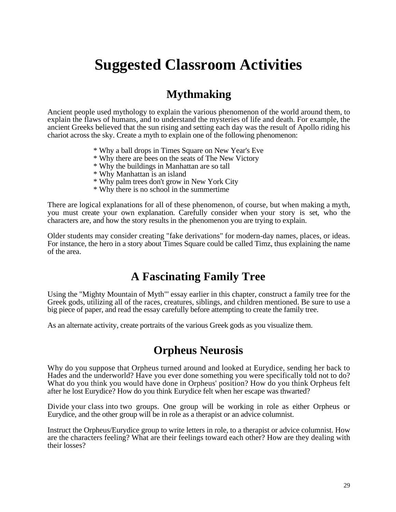# **Suggested Classroom Activities**

# **Mythmaking**

Ancient people used mythology to explain the various phenomenon of the world around them, to explain the flaws of humans, and to understand the mysteries of life and death. For example, the ancient Greeks believed that the sun rising and setting each day was the result of Apollo riding his chariot across the sky. Create a myth to explain one of the following phenomenon:

- \* Why a ball drops in Times Square on New Year's Eve
- \* Why there are bees on the seats of The New Victory
- \* Why the buildings in Manhattan are so tall
- \* Why Manhattan is an island
- \* Why palm trees don't grow in New York City
- \* Why there is no school in the summertime

There are logical explanations for all of these phenomenon, of course, but when making a myth, you must create your own explanation. Carefully consider when your story is set, who the characters are, and how the story results in the phenomenon you are trying to explain.

Older students may consider creating "fake derivations" for modern-day names, places, or ideas. For instance, the hero in a story about Times Square could be called Timz, thus explaining the name of the area.

# **A Fascinating Family Tree**

Using the "Mighty Mountain of Myth"' essay earlier in this chapter, construct a family tree for the Greek gods, utilizing all of the races, creatures, siblings, and children mentioned. Be sure to use a big piece of paper, and read the essay carefully before attempting to create the family tree.

As an alternate activity, create portraits of the various Greek gods as you visualize them.

# **Orpheus Neurosis**

Why do you suppose that Orpheus turned around and looked at Eurydice, sending her back to Hades and the underworld? Have you ever done something you were specifically told not to do? What do you think you would have done in Orpheus' position? How do you think Orpheus felt after he lost Eurydice? How do you think Eurydice felt when her escape was thwarted?

Divide your class into two groups. One group will be working in role as either Orpheus or Eurydice, and the other group will be in role as a therapist or an advice columnist.

Instruct the Orpheus/Eurydice group to write letters in role, to a therapist or advice columnist. How are the characters feeling? What are their feelings toward each other? How are they dealing with their losses?